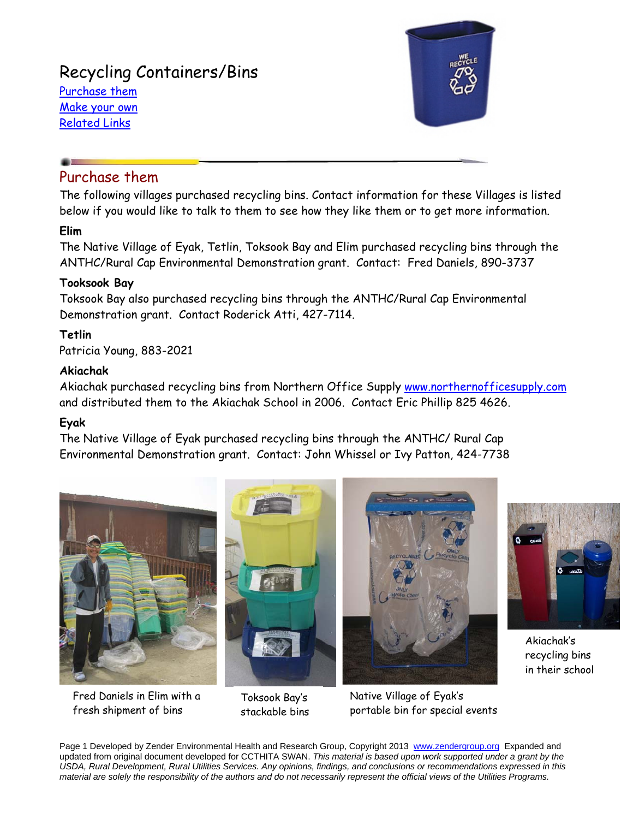# Recycling Containers/Bins

Purchase them Make your own Related Links



## Purchase them

The following villages purchased recycling bins. Contact information for these Villages is listed below if you would like to talk to them to see how they like them or to get more information.

## **Elim**

The Native Village of Eyak, Tetlin, Toksook Bay and Elim purchased recycling bins through the ANTHC/Rural Cap Environmental Demonstration grant. Contact: Fred Daniels, 890-3737

### **Tooksook Bay**

Toksook Bay also purchased recycling bins through the ANTHC/Rural Cap Environmental Demonstration grant. Contact Roderick Atti, 427-7114.

## **Tetlin**

Patricia Young, 883-2021

### **Akiachak**

Akiachak purchased recycling bins from Northern Office Supply www.northernofficesupply.com and distributed them to the Akiachak School in 2006. Contact Eric Phillip 825 4626.

## **Eyak**

The Native Village of Eyak purchased recycling bins through the ANTHC/ Rural Cap Environmental Demonstration grant. Contact: John Whissel or Ivy Patton, 424-7738



Fred Daniels in Elim with a fresh shipment of bins



Toksook Bay's stackable bins



Native Village of Eyak's portable bin for special events



Akiachak's recycling bins in their school

Page 1 Developed by Zender Environmental Health and Research Group, Copyright 2013 www.zendergroup.org Expanded and updated from original document developed for CCTHITA SWAN. *This material is based upon work supported under a grant by the USDA, Rural Development, Rural Utilities Services. Any opinions, findings, and conclusions or recommendations expressed in this material are solely the responsibility of the authors and do not necessarily represent the official views of the Utilities Programs.*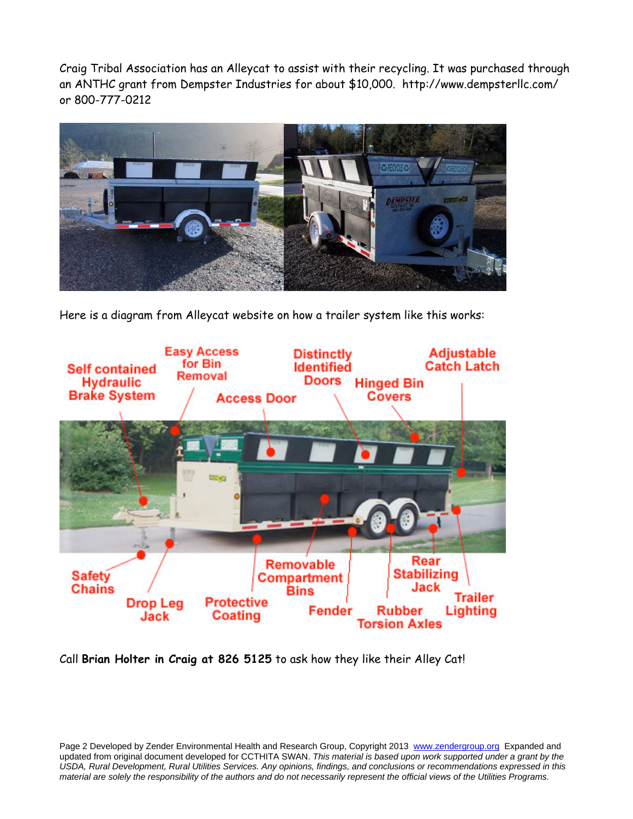Craig Tribal Association has an Alleycat to assist with their recycling. It was purchased through an ANTHC grant from Dempster Industries for about \$10,000. http://www.dempsterllc.com/ or 800-777-0212



Here is a diagram from Alleycat website on how a trailer system like this works:



Call **Brian Holter in Craig at 826 5125** to ask how they like their Alley Cat!

Page 2 Developed by Zender Environmental Health and Research Group, Copyright 2013 www.zendergroup.org Expanded and updated from original document developed for CCTHITA SWAN. *This material is based upon work supported under a grant by the USDA, Rural Development, Rural Utilities Services. Any opinions, findings, and conclusions or recommendations expressed in this material are solely the responsibility of the authors and do not necessarily represent the official views of the Utilities Programs.*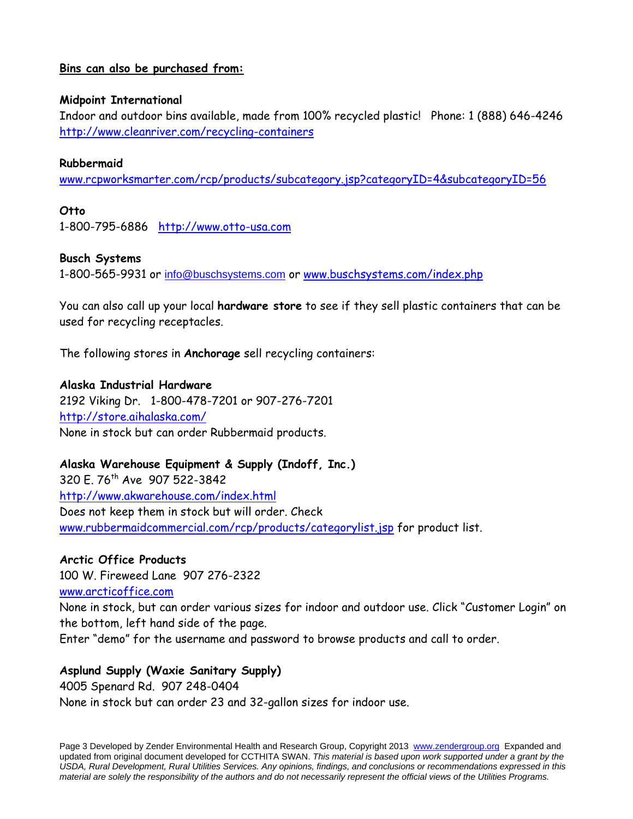### **Bins can also be purchased from:**

#### **Midpoint International**

Indoor and outdoor bins available, made from 100% recycled plastic! Phone: 1 (888) 646-4246 http://www.cleanriver.com/recycling-containers

#### **Rubbermaid**

www.rcpworksmarter.com/rcp/products/subcategory.jsp?categoryID=4&subcategoryID=56

#### **Otto**

1-800-795-6886 http://www.otto-usa.com

#### **Busch Systems**

1-800-565-9931 or info@buschsystems.com or www.buschsystems.com/index.php

You can also call up your local **hardware store** to see if they sell plastic containers that can be used for recycling receptacles.

The following stores in **Anchorage** sell recycling containers:

#### **Alaska Industrial Hardware**

2192 Viking Dr. 1-800-478-7201 or 907-276-7201 http://store.aihalaska.com/ None in stock but can order Rubbermaid products.

#### **Alaska Warehouse Equipment & Supply (Indoff, Inc.)**

320 E. 76th Ave 907 522-3842 http://www.akwarehouse.com/index.html Does not keep them in stock but will order. Check www.rubbermaidcommercial.com/rcp/products/categorylist.jsp for product list.

#### **Arctic Office Products**

100 W. Fireweed Lane 907 276-2322 www.arcticoffice.com

None in stock, but can order various sizes for indoor and outdoor use. Click "Customer Login" on the bottom, left hand side of the page.

Enter "demo" for the username and password to browse products and call to order.

#### **Asplund Supply (Waxie Sanitary Supply)**

4005 Spenard Rd. 907 248-0404

None in stock but can order 23 and 32-gallon sizes for indoor use.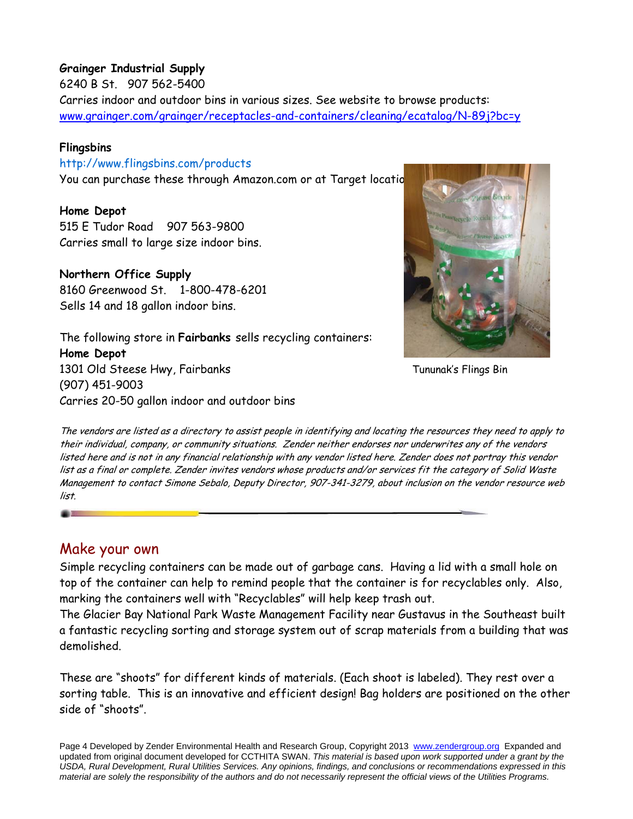## **Grainger Industrial Supply**

6240 B St. 907 562-5400

Carries indoor and outdoor bins in various sizes. See website to browse products: www.grainger.com/grainger/receptacles-and-containers/cleaning/ecatalog/N-89j?bc=y

## **Flingsbins**

http://www.flingsbins.com/products

You can purchase these through Amazon.com or at Target locatio

## **Home Depot**

515 E Tudor Road 907 563-9800 Carries small to large size indoor bins.

## **Northern Office Supply**

8160 Greenwood St. 1-800-478-6201 Sells 14 and 18 gallon indoor bins.

The following store in **Fairbanks** sells recycling containers: **Home Depot**  1301 Old Steese Hwy, Fairbanks (907) 451-9003 Carries 20-50 gallon indoor and outdoor bins



Tununak's Flings Bin

The vendors are listed as a directory to assist people in identifying and locating the resources they need to apply to their individual, company, or community situations. Zender neither endorses nor underwrites any of the vendors listed here and is not in any financial relationship with any vendor listed here. Zender does not portray this vendor list as a final or complete. Zender invites vendors whose products and/or services fit the category of Solid Waste Management to contact Simone Sebalo, Deputy Director, 907-341-3279, about inclusion on the vendor resource web list.

## Make your own

Simple recycling containers can be made out of garbage cans. Having a lid with a small hole on top of the container can help to remind people that the container is for recyclables only. Also, marking the containers well with "Recyclables" will help keep trash out.

The Glacier Bay National Park Waste Management Facility near Gustavus in the Southeast built a fantastic recycling sorting and storage system out of scrap materials from a building that was demolished.

These are "shoots" for different kinds of materials. (Each shoot is labeled). They rest over a sorting table. This is an innovative and efficient design! Bag holders are positioned on the other side of "shoots".

Page 4 Developed by Zender Environmental Health and Research Group, Copyright 2013 www.zendergroup.org Expanded and updated from original document developed for CCTHITA SWAN. *This material is based upon work supported under a grant by the USDA, Rural Development, Rural Utilities Services. Any opinions, findings, and conclusions or recommendations expressed in this material are solely the responsibility of the authors and do not necessarily represent the official views of the Utilities Programs.*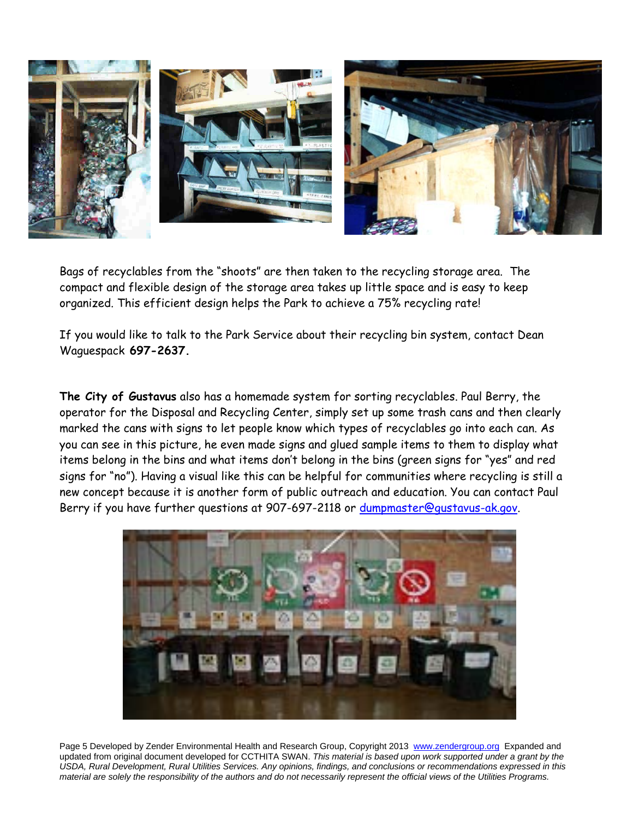

Bags of recyclables from the "shoots" are then taken to the recycling storage area. The compact and flexible design of the storage area takes up little space and is easy to keep organized. This efficient design helps the Park to achieve a 75% recycling rate!

If you would like to talk to the Park Service about their recycling bin system, contact Dean Waguespack **697-2637.** 

**The City of Gustavus** also has a homemade system for sorting recyclables. Paul Berry, the operator for the Disposal and Recycling Center, simply set up some trash cans and then clearly marked the cans with signs to let people know which types of recyclables go into each can. As you can see in this picture, he even made signs and glued sample items to them to display what items belong in the bins and what items don't belong in the bins (green signs for "yes" and red signs for "no"). Having a visual like this can be helpful for communities where recycling is still a new concept because it is another form of public outreach and education. You can contact Paul Berry if you have further questions at 907-697-2118 or dumpmaster@gustavus-ak.gov.



Page 5 Developed by Zender Environmental Health and Research Group, Copyright 2013 www.zendergroup.org Expanded and updated from original document developed for CCTHITA SWAN. *This material is based upon work supported under a grant by the USDA, Rural Development, Rural Utilities Services. Any opinions, findings, and conclusions or recommendations expressed in this material are solely the responsibility of the authors and do not necessarily represent the official views of the Utilities Programs.*